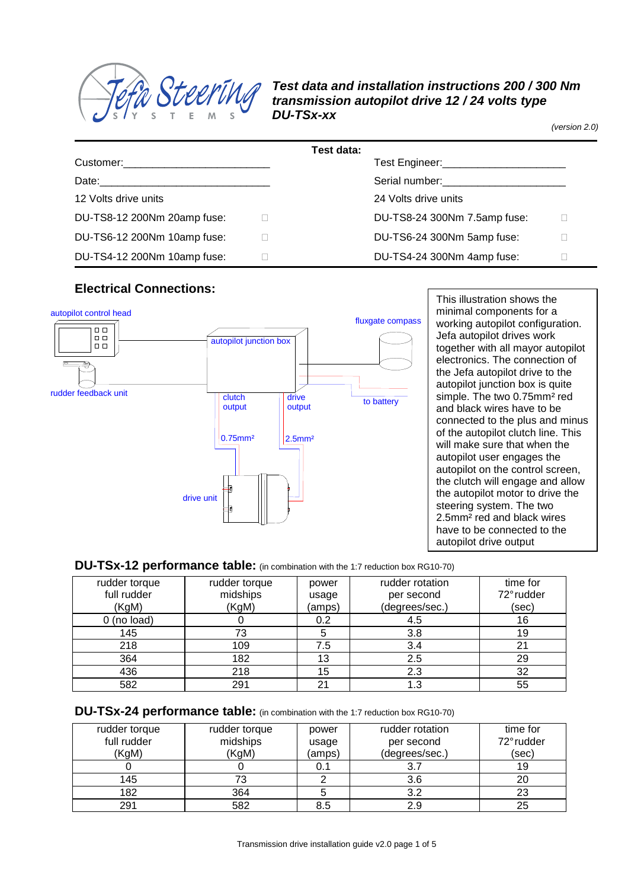

### **Test data and installation instructions 200 / 300 Nm transmission autopilot drive 12 / 24 volts type DU-TSx-xx**

(version 2.0)

| Test data:                  |                                               |  |  |  |  |  |
|-----------------------------|-----------------------------------------------|--|--|--|--|--|
|                             | Test Engineer:_______________________________ |  |  |  |  |  |
|                             | Serial number:<br><u> Serial</u> number:      |  |  |  |  |  |
| 12 Volts drive units        | 24 Volts drive units                          |  |  |  |  |  |
| DU-TS8-12 200Nm 20amp fuse: | DU-TS8-24 300Nm 7.5amp fuse:                  |  |  |  |  |  |
| DU-TS6-12 200Nm 10amp fuse: | DU-TS6-24 300Nm 5amp fuse:                    |  |  |  |  |  |
| DU-TS4-12 200Nm 10amp fuse: | DU-TS4-24 300Nm 4amp fuse:                    |  |  |  |  |  |

#### **Electrical Connections:**



This illustration shows the minimal components for a working autopilot configuration. Jefa autopilot drives work together with all mayor autopilot electronics. The connection of the Jefa autopilot drive to the autopilot junction box is quite simple. The two 0.75mm<sup>2</sup> red and black wires have to be connected to the plus and minus of the autopilot clutch line. This will make sure that when the autopilot user engages the autopilot on the control screen, the clutch will engage and allow the autopilot motor to drive the steering system. The two 2.5mm² red and black wires have to be connected to the autopilot drive output

#### **DU-TSx-12 performance table:** (in combination with the 1:7 reduction box RG10-70)

| rudder torque | rudder torque | power  | rudder rotation | time for   |
|---------------|---------------|--------|-----------------|------------|
| full rudder   | midships      | usage  | per second      | 72° rudder |
| (KgM)         | (KgM)         | (amps) | (degrees/sec.)  | (sec)      |
| $0$ (no load) |               | 0.2    | 4.5             | 16         |
| 145           | 73            |        | 3.8             | 19         |
| 218           | 109           | 7.5    | 3.4             | 21         |
| 364           | 182           | 13     | 2.5             | 29         |
| 436           | 218           | 15     | 2.3             | 32         |
| 582           | 291           | 21     | 1.3             | 55         |

#### **DU-TSx-24 performance table:** (in combination with the 1:7 reduction box RG10-70)

| rudder torque | rudder torque | power  | rudder rotation | time for   |
|---------------|---------------|--------|-----------------|------------|
| full rudder   | midships      | usage  | per second      | 72° rudder |
| (KgM)         | (KgM)         | (amps) | (degrees/sec.)  | (sec)      |
|               |               | 0.1    |                 | 19         |
| 145           |               |        | 3.6             | 20         |
| 182           | 364           |        | 3.2             | 23         |
| 291           | 582           | 8.5    | 2.9             | 25         |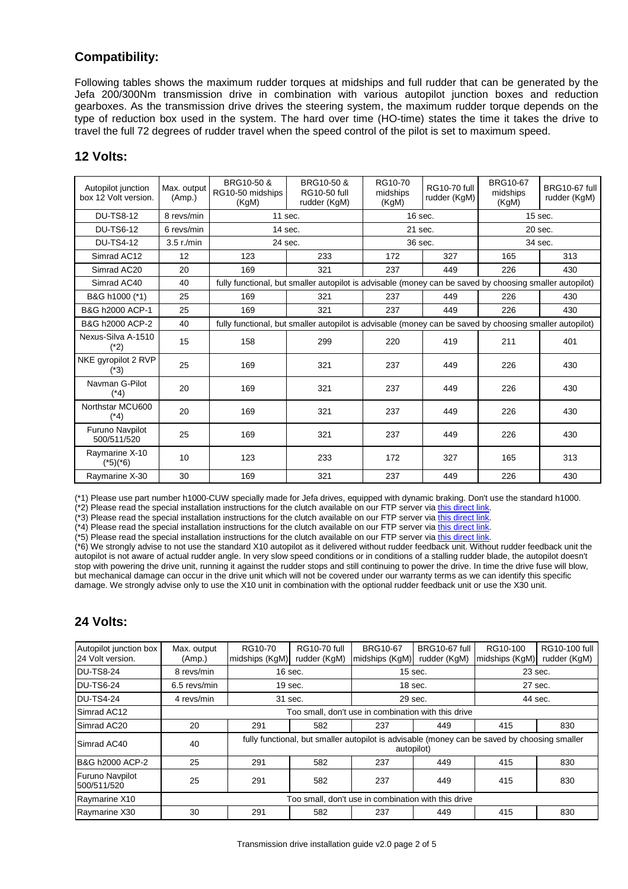# **Compatibility:**

Following tables shows the maximum rudder torques at midships and full rudder that can be generated by the Jefa 200/300Nm transmission drive in combination with various autopilot junction boxes and reduction gearboxes. As the transmission drive drives the steering system, the maximum rudder torque depends on the type of reduction box used in the system. The hard over time (HO-time) states the time it takes the drive to travel the full 72 degrees of rudder travel when the speed control of the pilot is set to maximum speed.

#### **12 Volts:**

| Autopilot junction<br>box 12 Volt version. | Max. output<br>(Amp.) | BRG10-50 &<br>RG10-50 midships<br>(KgM) | BRG10-50 &<br><b>RG10-50 full</b><br>rudder (KgM)                                                       | RG10-70<br>midships<br>(KgM) | <b>RG10-70 full</b><br>rudder (KgM) | <b>BRG10-67</b><br>midships<br>(KgM) | BRG10-67 full<br>rudder (KgM) |
|--------------------------------------------|-----------------------|-----------------------------------------|---------------------------------------------------------------------------------------------------------|------------------------------|-------------------------------------|--------------------------------------|-------------------------------|
| <b>DU-TS8-12</b>                           | 8 revs/min            | 11 sec.                                 |                                                                                                         | 16 sec.                      |                                     | $15$ sec.                            |                               |
| <b>DU-TS6-12</b>                           | 6 revs/min            | 14 sec.                                 |                                                                                                         | 21 sec.                      |                                     | 20 sec.                              |                               |
| <b>DU-TS4-12</b>                           | $3.5$ r./min          | 24 sec.                                 |                                                                                                         | 36 sec.                      |                                     | 34 sec.                              |                               |
| Simrad AC12                                | 12                    | 123                                     | 233                                                                                                     | 172                          | 327                                 | 165                                  | 313                           |
| Simrad AC20                                | 20                    | 169                                     | 321                                                                                                     | 237                          | 449                                 | 226                                  | 430                           |
| Simrad AC40                                | 40                    |                                         | fully functional, but smaller autopilot is advisable (money can be saved by choosing smaller autopilot) |                              |                                     |                                      |                               |
| B&G h1000 (*1)                             | 25                    | 169                                     | 321                                                                                                     | 237                          | 449                                 | 226                                  | 430                           |
| B&G h2000 ACP-1                            | 25                    | 169                                     | 321                                                                                                     | 237                          | 449                                 | 226                                  | 430                           |
| B&G h2000 ACP-2                            | 40                    |                                         | fully functional, but smaller autopilot is advisable (money can be saved by choosing smaller autopilot) |                              |                                     |                                      |                               |
| Nexus-Silva A-1510<br>(*2                  | 15                    | 158                                     | 299                                                                                                     | 220                          | 419                                 | 211                                  | 401                           |
| NKE gyropilot 2 RVP<br>(*3)                | 25                    | 169                                     | 321                                                                                                     | 237                          | 449                                 | 226                                  | 430                           |
| Navman G-Pilot<br>(*4)                     | 20                    | 169                                     | 321                                                                                                     | 237                          | 449                                 | 226                                  | 430                           |
| Northstar MCU600<br>(*4)                   | 20                    | 169                                     | 321                                                                                                     | 237                          | 449                                 | 226                                  | 430                           |
| Furuno Navpilot<br>500/511/520             | 25                    | 169                                     | 321                                                                                                     | 237                          | 449                                 | 226                                  | 430                           |
| Raymarine X-10<br>(*5)(*6)                 | 10                    | 123                                     | 233                                                                                                     | 172                          | 327                                 | 165                                  | 313                           |
| Raymarine X-30                             | 30                    | 169                                     | 321                                                                                                     | 237                          | 449                                 | 226                                  | 430                           |

(\*1) Please use part number h1000-CUW specially made for Jefa drives, equipped with dynamic braking. Don't use the standard h1000.

(\*2) Please read the special installation instructions for the clutch available on our FTP server via this direct link.

(\*3) Please read the special installation instructions for the clutch available on our FTP server via this direct link.

 $(*4)$  Please read the special installation instructions for the clutch available on our FTP server via this direct link. (\*5) Please read the special installation instructions for the clutch available on our FTP server via this direct link.

(\*6) We strongly advise to not use the standard X10 autopilot as it delivered without rudder feedback unit. Without rudder feedback unit the autopilot is not aware of actual rudder angle. In very slow speed conditions or in conditions of a stalling rudder blade, the autopilot doesn't stop with powering the drive unit, running it against the rudder stops and still continuing to power the drive. In time the drive fuse will blow, but mechanical damage can occur in the drive unit which will not be covered under our warranty terms as we can identify this specific damage. We strongly advise only to use the X10 unit in combination with the optional rudder feedback unit or use the X30 unit.

# **24 Volts:**

| Autopilot junction box<br>24 Volt version. | Max. output<br>(Amp.) | RG10-70<br>midships (KgM)                                                                                  | <b>RG10-70 full</b><br>rudder (KgM) | <b>BRG10-67</b><br>midships (KgM) | BRG10-67 full<br>rudder (KgM) | RG10-100<br>midships (KgM) | RG10-100 full<br>rudder (KgM) |
|--------------------------------------------|-----------------------|------------------------------------------------------------------------------------------------------------|-------------------------------------|-----------------------------------|-------------------------------|----------------------------|-------------------------------|
| <b>DU-TS8-24</b>                           | 8 revs/min            | $16$ sec.                                                                                                  |                                     | 15 sec.                           |                               | 23 sec.                    |                               |
| <b>DU-TS6-24</b>                           | 6.5 revs/min          | $19$ sec.                                                                                                  |                                     | $18$ sec.                         |                               | 27 sec.                    |                               |
| <b>DU-TS4-24</b>                           | 4 revs/min            |                                                                                                            | 31 sec.<br>29 sec.                  |                                   | 44 sec.                       |                            |                               |
| Simrad AC12                                |                       | Too small, don't use in combination with this drive                                                        |                                     |                                   |                               |                            |                               |
| Simrad AC20                                | 20                    | 291                                                                                                        | 582                                 | 237                               | 449                           | 415                        | 830                           |
| Simrad AC40                                | 40                    | fully functional, but smaller autopilot is advisable (money can be saved by choosing smaller<br>autopilot) |                                     |                                   |                               |                            |                               |
| B&G h2000 ACP-2                            | 25                    | 291                                                                                                        | 582                                 | 237                               | 449                           | 415                        | 830                           |
| <b>Furuno Navpilot</b><br>500/511/520      | 25                    | 291                                                                                                        | 582                                 | 237                               | 449                           | 415                        | 830                           |
| Raymarine X10                              |                       | Too small, don't use in combination with this drive                                                        |                                     |                                   |                               |                            |                               |
| Raymarine X30                              | 30                    | 291                                                                                                        | 582                                 | 237                               | 449                           | 415                        | 830                           |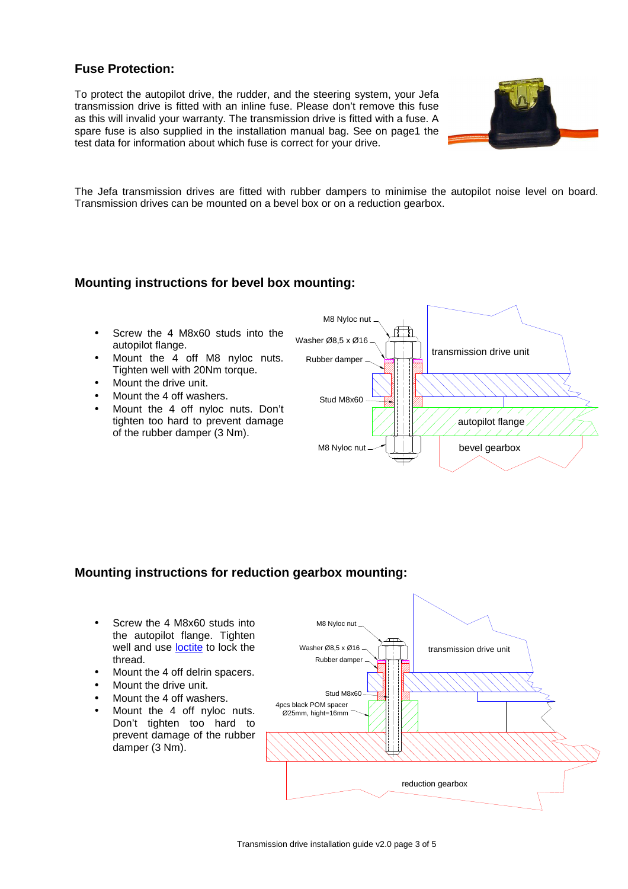# **Fuse Protection:**

To protect the autopilot drive, the rudder, and the steering system, your Jefa transmission drive is fitted with an inline fuse. Please don't remove this fuse as this will invalid your warranty. The transmission drive is fitted with a fuse. A spare fuse is also supplied in the installation manual bag. See on page1 the test data for information about which fuse is correct for your drive.



The Jefa transmission drives are fitted with rubber dampers to minimise the autopilot noise level on board. Transmission drives can be mounted on a bevel box or on a reduction gearbox.

### **Mounting instructions for bevel box mounting:**

- Screw the 4 M8x60 studs into the autopilot flange.
- Mount the 4 off M8 nyloc nuts. Tighten well with 20Nm torque.
- Mount the drive unit.
- Mount the 4 off washers.
- Mount the 4 off nyloc nuts. Don't tighten too hard to prevent damage of the rubber damper (3 Nm).



# **Mounting instructions for reduction gearbox mounting:**

- Screw the 4 M8x60 studs into the autopilot flange. Tighten well and use loctite to lock the thread.
- Mount the 4 off delrin spacers.
- Mount the drive unit.
- Mount the 4 off washers.
- Mount the 4 off nyloc nuts. Don't tighten too hard to prevent damage of the rubber damper (3 Nm).

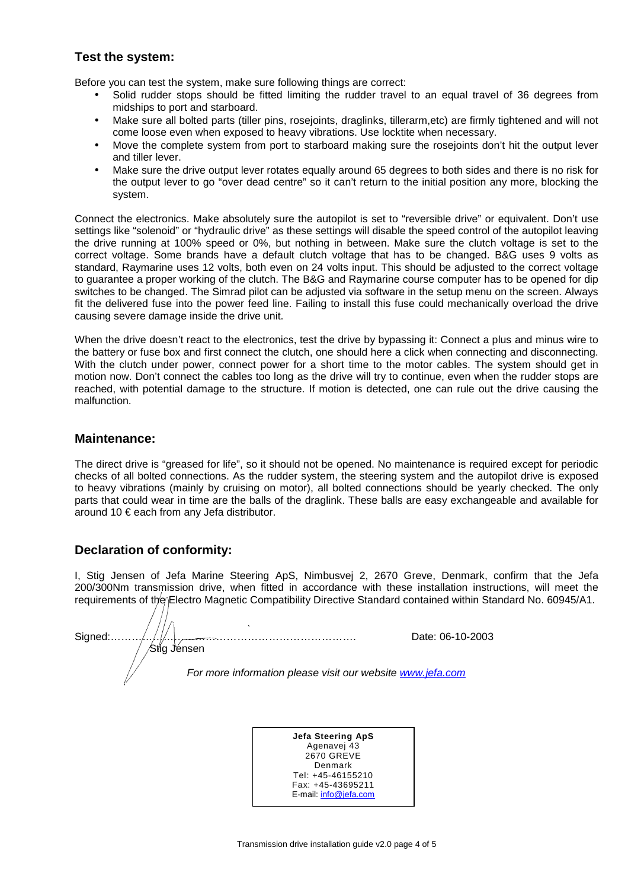### **Test the system:**

Before you can test the system, make sure following things are correct:

- Solid rudder stops should be fitted limiting the rudder travel to an equal travel of 36 degrees from midships to port and starboard.
- Make sure all bolted parts (tiller pins, rosejoints, draglinks, tillerarm,etc) are firmly tightened and will not come loose even when exposed to heavy vibrations. Use locktite when necessary.
- Move the complete system from port to starboard making sure the rosejoints don't hit the output lever and tiller lever.
- Make sure the drive output lever rotates equally around 65 degrees to both sides and there is no risk for the output lever to go "over dead centre" so it can't return to the initial position any more, blocking the system.

Connect the electronics. Make absolutely sure the autopilot is set to "reversible drive" or equivalent. Don't use settings like "solenoid" or "hydraulic drive" as these settings will disable the speed control of the autopilot leaving the drive running at 100% speed or 0%, but nothing in between. Make sure the clutch voltage is set to the correct voltage. Some brands have a default clutch voltage that has to be changed. B&G uses 9 volts as standard, Raymarine uses 12 volts, both even on 24 volts input. This should be adjusted to the correct voltage to guarantee a proper working of the clutch. The B&G and Raymarine course computer has to be opened for dip switches to be changed. The Simrad pilot can be adjusted via software in the setup menu on the screen. Always fit the delivered fuse into the power feed line. Failing to install this fuse could mechanically overload the drive causing severe damage inside the drive unit.

When the drive doesn't react to the electronics, test the drive by bypassing it: Connect a plus and minus wire to the battery or fuse box and first connect the clutch, one should here a click when connecting and disconnecting. With the clutch under power, connect power for a short time to the motor cables. The system should get in motion now. Don't connect the cables too long as the drive will try to continue, even when the rudder stops are reached, with potential damage to the structure. If motion is detected, one can rule out the drive causing the malfunction.

#### **Maintenance:**

The direct drive is "greased for life", so it should not be opened. No maintenance is required except for periodic checks of all bolted connections. As the rudder system, the steering system and the autopilot drive is exposed to heavy vibrations (mainly by cruising on motor), all bolted connections should be yearly checked. The only parts that could wear in time are the balls of the draglink. These balls are easy exchangeable and available for around 10 € each from any Jefa distributor.

# **Declaration of conformity:**

Stig Jensen

I, Stig Jensen of Jefa Marine Steering ApS, Nimbusvej 2, 2670 Greve, Denmark, confirm that the Jefa 200/300Nm transmission drive, when fitted in accordance with these installation instructions, will meet the requirements of the Electro Magnetic Compatibility Directive Standard contained within Standard No. 60945/A1.

Signed:……………………………………………………………. Date: 06-10-2003

For more information please visit our website www.jefa.com

**Jefa Steering ApS** Agenavej 43 2670 GREVE Denmark Tel: +45-46155210 Fax: +45-43695211 E-mail: info@jefa.com